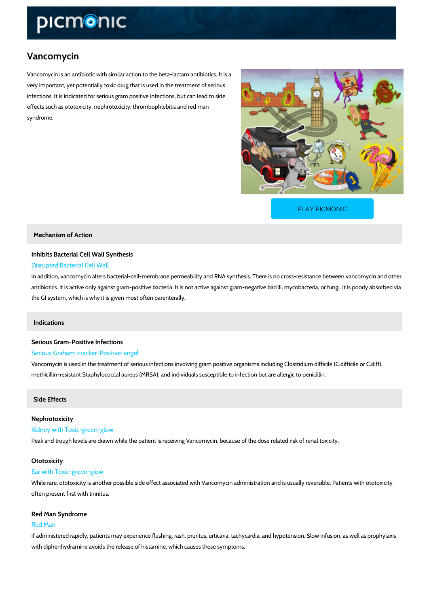# Vancomycin

Vancomycin is an antibiotic with similar action to the beta-lactam antibiotics. It is a very important, yet potentially toxic drug that is used in the treatment of serious infections. It is indicated for serious gram positive infections, but can lead to side effects such as ototoxicity, nephrotoxicity, thrombophlebitis and red man syndrome.

[PLAY PICMONIC](https://www.picmonic.com/learn/vancomycin_1631?utm_source=downloadable_content&utm_medium=distributedcontent&utm_campaign=pathways_pdf&utm_content=Vancomycin&utm_ad_group=leads&utm_market=all)

Mechanism of Action

# Inhibits Bacterial Cell Wall Synthesis Disrupted Bacterial Cell Wall

In addition, vancomycin alters bacterial-cell-membrane permeability and RNA synthesis. There antibiotics. It is active only against gram-positive bacteria. It is not active against gram-negative the GI system, which is why it is given most often parenterally.

## Indications

# Serious Gram-Positive Infections

## Serious Graham-cracker-Positive-angel

Vancomycin is used in the treatment of serious infections involving gram positive organisms i methicillin-resistant Staphylococcal aureus (MRSA), and individuals susceptible to infection b

## Side Effects

# Nephrotoxicity Kidney with Toxic-green-glow Peak and trough levels are drawn while the patient is receiving Vancomycin, because of the d

#### Ototoxicity

#### Ear with Toxic-green-glow

While rare, ototoxicity is another possible side effect associated with Vancomycin administrat often present first with tinnitus.

## Red Man Syndrome

#### Red Man

If administered rapidly, patients may experience flushing, rash, pruritus, urticaria, tachycardi with diphenhydramine avoids the release of histamine, which causes these symptoms.